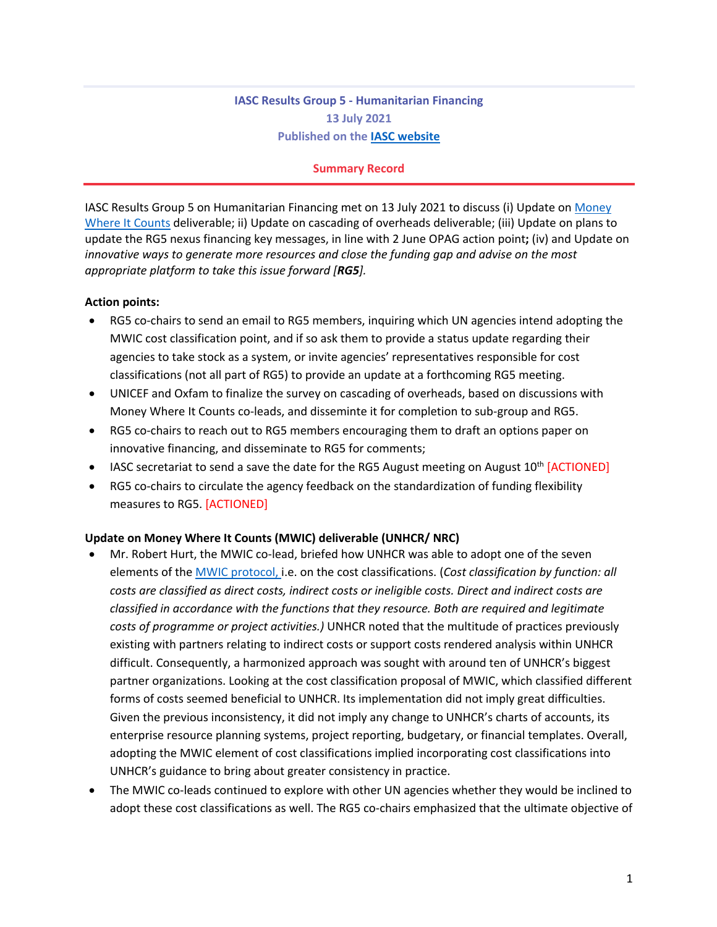# **IASC Results Group 5 - Humanitarian Financing 13 July 2021 Published on the IASC website**

#### **Summary Record**

IASC Results Group 5 on Humanitarian Financing met on 13 July 2021 to discuss (i) Update on Money Where It Counts deliverable; ii) Update on cascading of overheads deliverable; (iii) Update on plans to update the RG5 nexus financing key messages, in line with 2 June OPAG action point**;** (iv) and Update on *innovative ways to generate more resources and close the funding gap and advise on the most appropriate platform to take this issue forward [RG5].*

#### **Action points:**

- RG5 co-chairs to send an email to RG5 members, inquiring which UN agencies intend adopting the MWIC cost classification point, and if so ask them to provide a status update regarding their agencies to take stock as a system, or invite agencies' representatives responsible for cost classifications (not all part of RG5) to provide an update at a forthcoming RG5 meeting.
- UNICEF and Oxfam to finalize the survey on cascading of overheads, based on discussions with Money Where It Counts co-leads, and disseminte it for completion to sub-group and RG5.
- RG5 co-chairs to reach out to RG5 members encouraging them to draft an options paper on innovative financing, and disseminate to RG5 for comments;
- IASC secretariat to send a save the date for the RG5 August meeting on August  $10^{th}$  [ACTIONED]
- RG5 co-chairs to circulate the agency feedback on the standardization of funding flexibility measures to RG5. [ACTIONED]

### **Update on Money Where It Counts (MWIC) deliverable (UNHCR/ NRC)**

- Mr. Robert Hurt, the MWIC co-lead, briefed how UNHCR was able to adopt one of the seven elements of the MWIC protocol, i.e. on the cost classifications. (*Cost classification by function: all costs are classified as direct costs, indirect costs or ineligible costs. Direct and indirect costs are classified in accordance with the functions that they resource. Both are required and legitimate costs of programme or project activities.)* UNHCR noted that the multitude of practices previously existing with partners relating to indirect costs or support costs rendered analysis within UNHCR difficult. Consequently, a harmonized approach was sought with around ten of UNHCR's biggest partner organizations. Looking at the cost classification proposal of MWIC, which classified different forms of costs seemed beneficial to UNHCR. Its implementation did not imply great difficulties. Given the previous inconsistency, it did not imply any change to UNHCR's charts of accounts, its enterprise resource planning systems, project reporting, budgetary, or financial templates. Overall, adopting the MWIC element of cost classifications implied incorporating cost classifications into UNHCR's guidance to bring about greater consistency in practice.
- The MWIC co-leads continued to explore with other UN agencies whether they would be inclined to adopt these cost classifications as well. The RG5 co-chairs emphasized that the ultimate objective of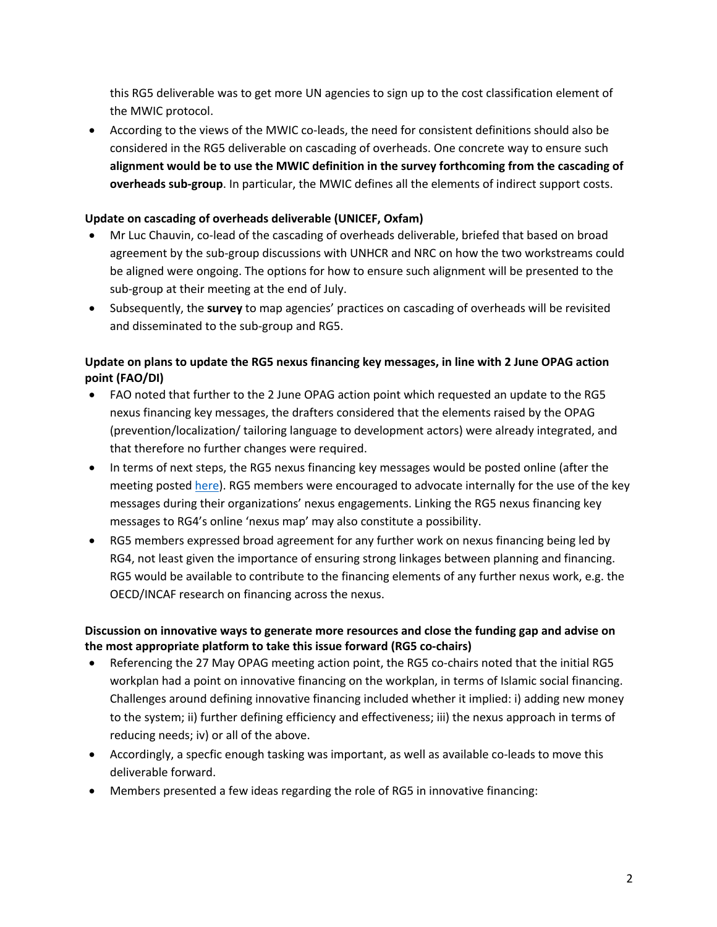this RG5 deliverable was to get more UN agencies to sign up to the cost classification element of the MWIC protocol.

• According to the views of the MWIC co-leads, the need for consistent definitions should also be considered in the RG5 deliverable on cascading of overheads. One concrete way to ensure such **alignment would be to use the MWIC definition in the survey forthcoming from the cascading of overheads sub-group**. In particular, the MWIC defines all the elements of indirect support costs.

### **Update on cascading of overheads deliverable (UNICEF, Oxfam)**

- Mr Luc Chauvin, co-lead of the cascading of overheads deliverable, briefed that based on broad agreement by the sub-group discussions with UNHCR and NRC on how the two workstreams could be aligned were ongoing. The options for how to ensure such alignment will be presented to the sub-group at their meeting at the end of July.
- Subsequently, the **survey** to map agencies' practices on cascading of overheads will be revisited and disseminated to the sub-group and RG5.

## **Update on plans to update the RG5 nexus financing key messages, in line with 2 June OPAG action point (FAO/DI)**

- FAO noted that further to the 2 June OPAG action point which requested an update to the RG5 nexus financing key messages, the drafters considered that the elements raised by the OPAG (prevention/localization/ tailoring language to development actors) were already integrated, and that therefore no further changes were required.
- In terms of next steps, the RG5 nexus financing key messages would be posted online (after the meeting posted here). RG5 members were encouraged to advocate internally for the use of the key messages during their organizations' nexus engagements. Linking the RG5 nexus financing key messages to RG4's online 'nexus map' may also constitute a possibility.
- RG5 members expressed broad agreement for any further work on nexus financing being led by RG4, not least given the importance of ensuring strong linkages between planning and financing. RG5 would be available to contribute to the financing elements of any further nexus work, e.g. the OECD/INCAF research on financing across the nexus.

## **Discussion on innovative ways to generate more resources and close the funding gap and advise on the most appropriate platform to take this issue forward (RG5 co-chairs)**

- Referencing the 27 May OPAG meeting action point, the RG5 co-chairs noted that the initial RG5 workplan had a point on innovative financing on the workplan, in terms of Islamic social financing. Challenges around defining innovative financing included whether it implied: i) adding new money to the system; ii) further defining efficiency and effectiveness; iii) the nexus approach in terms of reducing needs; iv) or all of the above.
- Accordingly, a specfic enough tasking was important, as well as available co-leads to move this deliverable forward.
- Members presented a few ideas regarding the role of RG5 in innovative financing: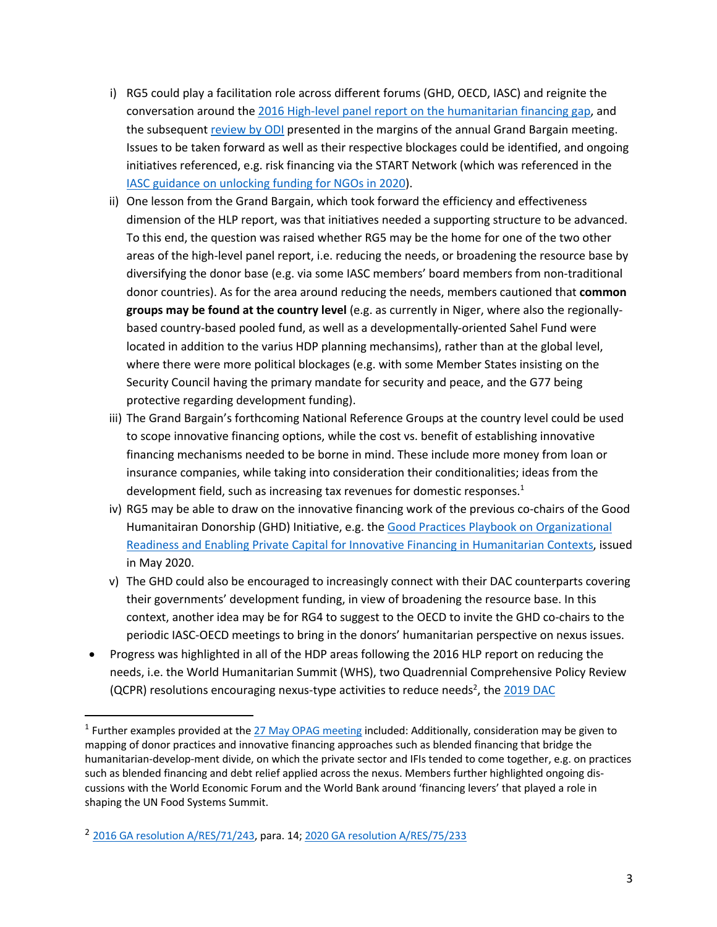- i) RG5 could play a facilitation role across different forums (GHD, OECD, IASC) and reignite the conversation around the 2016 High-level panel report on the humanitarian financing gap, and the subsequent review by ODI presented in the margins of the annual Grand Bargain meeting. Issues to be taken forward as well as their respective blockages could be identified, and ongoing initiatives referenced, e.g. risk financing via the START Network (which was referenced in the IASC guidance on unlocking funding for NGOs in 2020).
- ii) One lesson from the Grand Bargain, which took forward the efficiency and effectiveness dimension of the HLP report, was that initiatives needed a supporting structure to be advanced. To this end, the question was raised whether RG5 may be the home for one of the two other areas of the high-level panel report, i.e. reducing the needs, or broadening the resource base by diversifying the donor base (e.g. via some IASC members' board members from non-traditional donor countries). As for the area around reducing the needs, members cautioned that **common groups may be found at the country level** (e.g. as currently in Niger, where also the regionallybased country-based pooled fund, as well as a developmentally-oriented Sahel Fund were located in addition to the varius HDP planning mechansims), rather than at the global level, where there were more political blockages (e.g. with some Member States insisting on the Security Council having the primary mandate for security and peace, and the G77 being protective regarding development funding).
- iii) The Grand Bargain's forthcoming National Reference Groups at the country level could be used to scope innovative financing options, while the cost vs. benefit of establishing innovative financing mechanisms needed to be borne in mind. These include more money from loan or insurance companies, while taking into consideration their conditionalities; ideas from the development field, such as increasing tax revenues for domestic responses. $<sup>1</sup>$ </sup>
- iv) RG5 may be able to draw on the innovative financing work of the previous co-chairs of the Good Humanitairan Donorship (GHD) Initiative, e.g. the Good Practices Playbook on Organizational Readiness and Enabling Private Capital for Innovative Financing in Humanitarian Contexts, issued in May 2020.
- v) The GHD could also be encouraged to increasingly connect with their DAC counterparts covering their governments' development funding, in view of broadening the resource base. In this context, another idea may be for RG4 to suggest to the OECD to invite the GHD co-chairs to the periodic IASC-OECD meetings to bring in the donors' humanitarian perspective on nexus issues.
- Progress was highlighted in all of the HDP areas following the 2016 HLP report on reducing the needs, i.e. the World Humanitarian Summit (WHS), two Quadrennial Comprehensive Policy Review (QCPR) resolutions encouraging nexus-type activities to reduce needs<sup>2</sup>, the  $2019$  DAC

<sup>&</sup>lt;sup>1</sup> Further examples provided at the  $27$  May OPAG meeting included: Additionally, consideration may be given to mapping of donor practices and innovative financing approaches such as blended financing that bridge the humanitarian-develop-ment divide, on which the private sector and IFIs tended to come together, e.g. on practices such as blended financing and debt relief applied across the nexus. Members further highlighted ongoing discussions with the World Economic Forum and the World Bank around 'financing levers' that played a role in shaping the UN Food Systems Summit.

<sup>2</sup> 2016 GA resolution A/RES/71/243, para. 14; 2020 GA resolution A/RES/75/233